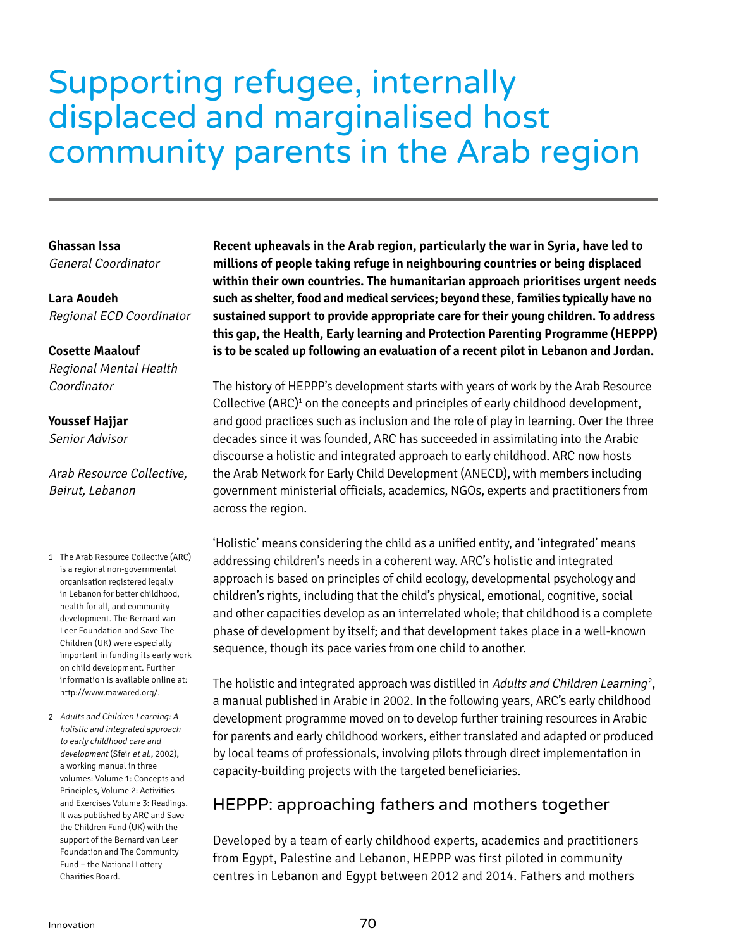# Supporting refugee, internally displaced and marginalised host community parents in the Arab region

**Ghassan Issa** General Coordinator

**Lara Aoudeh** Regional ECD Coordinator

#### **Cosette Maalouf**

Regional Mental Health Coordinator

#### **Youssef Hajjar**

Senior Advisor

Arab Resource Collective, Beirut, Lebanon

- 1 The Arab Resource Collective (ARC) is a regional non-governmental organisation registered legally in Lebanon for better childhood, health for all, and community development. The Bernard van Leer Foundation and Save The Children (UK) were especially important in funding its early work on child development. Further information is available online at: <http://www.mawared.org/>.
- 2 Adults and Children Learning: A holistic and integrated approach to early childhood care and development (Sfeir et al., 2002), a working manual in three volumes: Volume 1: Concepts and Principles, Volume 2: Activities and Exercises Volume 3: Readings. It was published by ARC and Save the Children Fund (UK) with the support of the Bernard van Leer Foundation and The Community Fund – the National Lottery Charities Board.

**Recent upheavals in the Arab region, particularly the war in Syria, have led to millions of people taking refuge in neighbouring countries or being displaced within their own countries. The humanitarian approach prioritises urgent needs such as shelter, food and medical services; beyond these, families typically have no sustained support to provide appropriate care for their young children. To address this gap, the Health, Early learning and Protection Parenting Programme (HEPPP) is to be scaled up following an evaluation of a recent pilot in Lebanon and Jordan.**

The history of HEPPP's development starts with years of work by the Arab Resource Collective (ARC) $^1$  on the concepts and principles of early childhood development, and good practices such as inclusion and the role of play in learning. Over the three decades since it was founded, ARC has succeeded in assimilating into the Arabic discourse a holistic and integrated approach to early childhood. ARC now hosts the Arab Network for Early Child Development (ANECD), with members including government ministerial officials, academics, NGOs, experts and practitioners from across the region.

'Holistic' means considering the child as a unified entity, and 'integrated' means addressing children's needs in a coherent way. ARC's holistic and integrated approach is based on principles of child ecology, developmental psychology and children's rights, including that the child's physical, emotional, cognitive, social and other capacities develop as an interrelated whole; that childhood is a complete phase of development by itself; and that development takes place in a well-known sequence, though its pace varies from one child to another.

The holistic and integrated approach was distilled in *Adults and Children Learning<sup>2</sup>,* a manual published in Arabic in 2002. In the following years, ARC's early childhood development programme moved on to develop further training resources in Arabic for parents and early childhood workers, either translated and adapted or produced by local teams of professionals, involving pilots through direct implementation in capacity-building projects with the targeted beneficiaries.

# HEPPP: approaching fathers and mothers together

Developed by a team of early childhood experts, academics and practitioners from Egypt, Palestine and Lebanon, HEPPP was first piloted in community centres in Lebanon and Egypt between 2012 and 2014. Fathers and mothers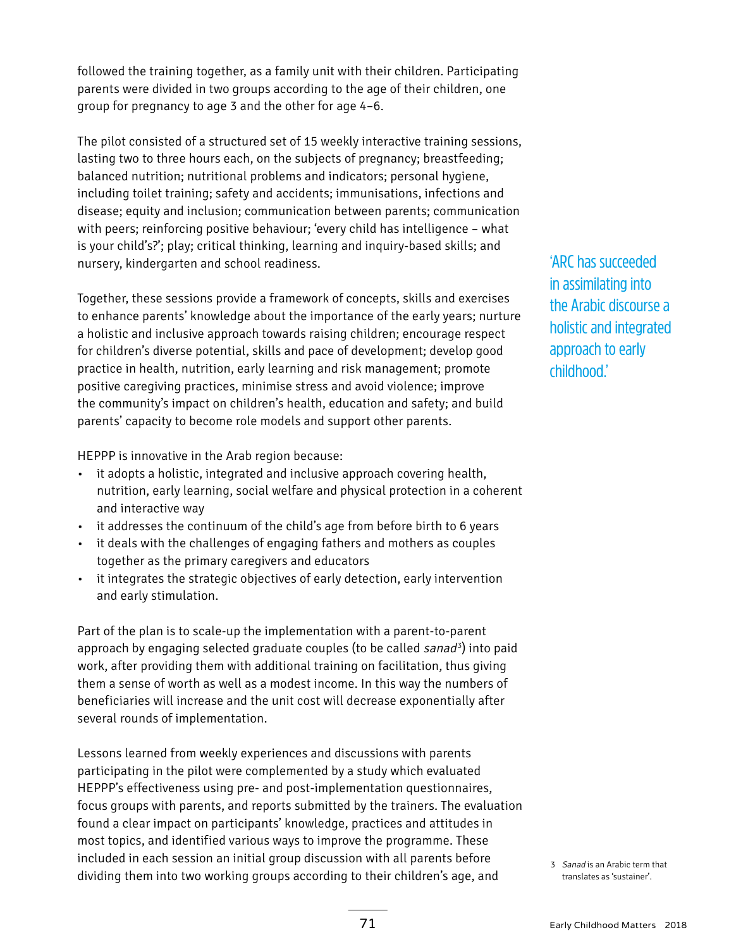followed the training together, as a family unit with their children. Participating parents were divided in two groups according to the age of their children, one group for pregnancy to age 3 and the other for age 4–6.

The pilot consisted of a structured set of 15 weekly interactive training sessions, lasting two to three hours each, on the subjects of pregnancy; breastfeeding; balanced nutrition; nutritional problems and indicators; personal hygiene, including toilet training; safety and accidents; immunisations, infections and disease; equity and inclusion; communication between parents; communication with peers; reinforcing positive behaviour; 'every child has intelligence – what is your child's?'; play; critical thinking, learning and inquiry-based skills; and nursery, kindergarten and school readiness.

Together, these sessions provide a framework of concepts, skills and exercises to enhance parents' knowledge about the importance of the early years; nurture a holistic and inclusive approach towards raising children; encourage respect for children's diverse potential, skills and pace of development; develop good practice in health, nutrition, early learning and risk management; promote positive caregiving practices, minimise stress and avoid violence; improve the community's impact on children's health, education and safety; and build parents' capacity to become role models and support other parents.

HEPPP is innovative in the Arab region because:

- it adopts a holistic, integrated and inclusive approach covering health, nutrition, early learning, social welfare and physical protection in a coherent and interactive way
- it addresses the continuum of the child's age from before birth to 6 years
- it deals with the challenges of engaging fathers and mothers as couples together as the primary caregivers and educators
- it integrates the strategic objectives of early detection, early intervention and early stimulation.

Part of the plan is to scale-up the implementation with a parent-to-parent approach by engaging selected graduate couples (to be called *sanad*3) into paid work, after providing them with additional training on facilitation, thus giving them a sense of worth as well as a modest income. In this way the numbers of beneficiaries will increase and the unit cost will decrease exponentially after several rounds of implementation.

Lessons learned from weekly experiences and discussions with parents participating in the pilot were complemented by a study which evaluated HEPPP's effectiveness using pre- and post-implementation questionnaires, focus groups with parents, and reports submitted by the trainers. The evaluation found a clear impact on participants' knowledge, practices and attitudes in most topics, and identified various ways to improve the programme. These included in each session an initial group discussion with all parents before dividing them into two working groups according to their children's age, and  $\frac{3}{3}$  Sanad is an Arabic term that dividing them into two working groups according to their children's age, and translates as 'sustainer'.

'ARC has succeeded in assimilating into the Arabic discourse a holistic and integrated approach to early childhood.'

translates as 'sustainer'.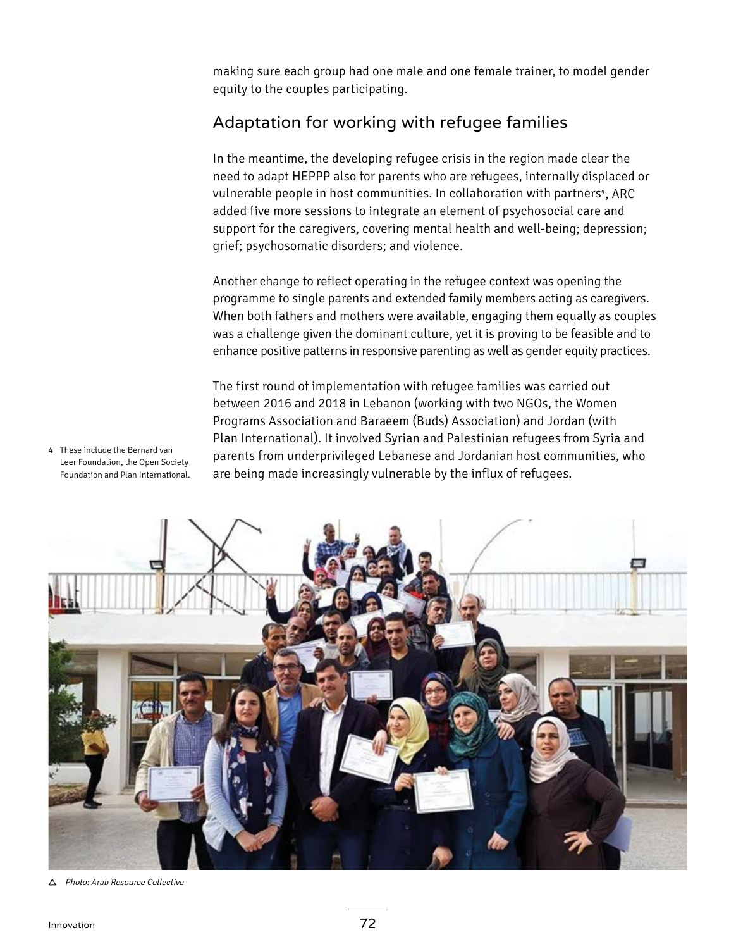making sure each group had one male and one female trainer, to model gender equity to the couples participating.

## Adaptation for working with refugee families

In the meantime, the developing refugee crisis in the region made clear the need to adapt HEPPP also for parents who are refugees, internally displaced or vulnerable people in host communities. In collaboration with partners<sup>4</sup>, ARC added five more sessions to integrate an element of psychosocial care and support for the caregivers, covering mental health and well-being; depression; grief; psychosomatic disorders; and violence.

Another change to reflect operating in the refugee context was opening the programme to single parents and extended family members acting as caregivers. When both fathers and mothers were available, engaging them equally as couples was a challenge given the dominant culture, yet it is proving to be feasible and to enhance positive patterns in responsive parenting as well as gender equity practices.

The first round of implementation with refugee families was carried out between 2016 and 2018 in Lebanon (working with two NGOs, the Women Programs Association and Baraeem (Buds) Association) and Jordan (with Plan International). It involved Syrian and Palestinian refugees from Syria and parents from underprivileged Lebanese and Jordanian host communities, who are being made increasingly vulnerable by the influx of refugees.

4 These include the Bernard van Leer Foundation, the Open Society Foundation and Plan International.



△ Photo: Arab Resource Collective